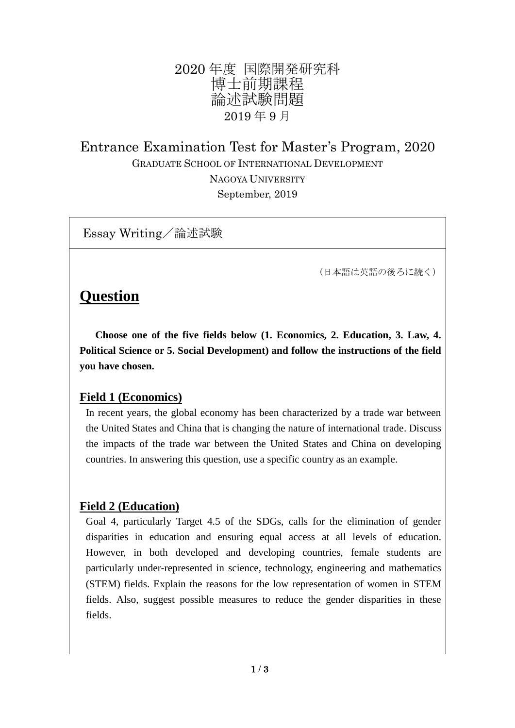# 2020 年度 国際開発研究科 博士前期課程 論述試験問題 2019 年 9 月

Entrance Examination Test for Master's Program, 2020 GRADUATE SCHOOL OF INTERNATIONAL DEVELOPMENT NAGOYA UNIVERSITY September, 2019

Essay Writing/論述試験

(日本語は英語の後ろに続く)

# **Question**

 **Choose one of the five fields below (1. Economics, 2. Education, 3. Law, 4. Political Science or 5. Social Development) and follow the instructions of the field you have chosen.**

## **Field 1 (Economics)**

In recent years, the global economy has been characterized by a trade war between the United States and China that is changing the nature of international trade. Discuss the impacts of the trade war between the United States and China on developing countries. In answering this question, use a specific country as an example.

## **Field 2 (Education)**

Goal 4, particularly Target 4.5 of the SDGs, calls for the elimination of gender disparities in education and ensuring equal access at all levels of education. However, in both developed and developing countries, female students are particularly under-represented in science, technology, engineering and mathematics (STEM) fields. Explain the reasons for the low representation of women in STEM fields. Also, suggest possible measures to reduce the gender disparities in these fields.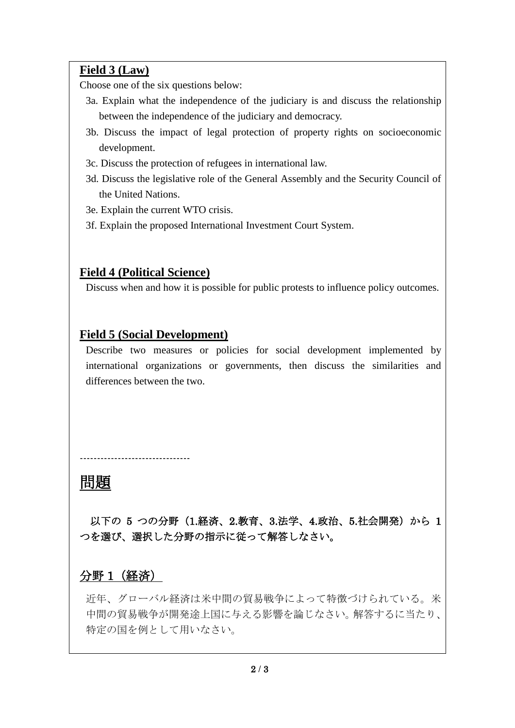### **Field 3 (Law)**

Choose one of the six questions below:

- 3a. Explain what the independence of the judiciary is and discuss the relationship between the independence of the judiciary and democracy.
- 3b. Discuss the impact of legal protection of property rights on socioeconomic development.
- 3c. Discuss the protection of refugees in international law.
- 3d. Discuss the legislative role of the General Assembly and the Security Council of the United Nations.
- 3e. Explain the current WTO crisis.
- 3f. Explain the proposed International Investment Court System.

### **Field 4 (Political Science)**

Discuss when and how it is possible for public protests to influence policy outcomes.

### **Field 5 (Social Development)**

--------------------------------

Describe two measures or policies for social development implemented by international organizations or governments, then discuss the similarities and differences between the two.

# 問題

以下の 5 つの分野 (1.経済、2.教育、3.法学、4.政治、5.社会開発)から 1 つを選び、選択した分野の指示に従って解答しなさい。

# 分野 1(経済)

近年、グローバル経済は米中間の貿易戦争によって特徴づけられている。米 中間の貿易戦争が開発途上国に与える影響を論じなさい。解答するに当たり、 特定の国を例として用いなさい。